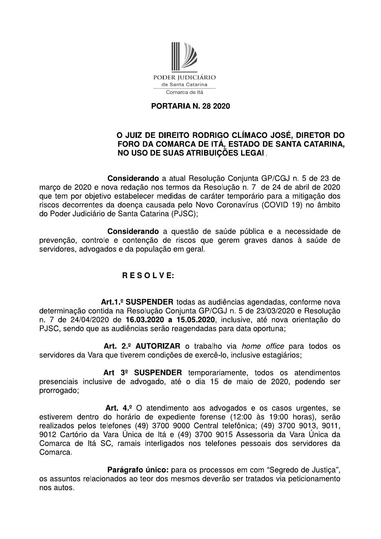

## **PORTARIA N. 28 2020**

## O JUIZ DE DIREITO RODRIGO CLÍMACO JOSÉ, DIRETOR DO FORO DA COMARCA DE ITÁ, ESTADO DE SANTA CATARINA, **NO USO DE SUAS ATRIBUICÕES LEGAI.**

Considerando a atual Resolução Conjunta GP/CGJ n. 5 de 23 de março de 2020 e nova redação nos termos da Resolução n. 7 de 24 de abril de 2020 que tem por objetivo estabelecer medidas de caráter temporário para a mitigação dos riscos decorrentes da doença causada pelo Novo Coronavírus (COVID 19) no âmbito do Poder Judiciário de Santa Catarina (PJSC);

Considerando a questão de saúde pública e a necessidade de prevenção, controle e contenção de riscos que gerem graves danos à saúde de servidores, advogados e da população em geral.

## RESOLVE:

Art.1.º SUSPENDER todas as audiências agendadas, conforme nova determinação contida na Resolução Conjunta GP/CGJ n. 5 de 23/03/2020 e Resolução n. 7 de 24/04/2020 de 16.03.2020 a 15.05.2020, inclusive, até nova orientação do PJSC, sendo que as audiências serão reagendadas para data oportuna;

Art. 2.º AUTORIZAR o trabalho via *home office* para todos os servidores da Vara que tiverem condições de exercê-lo, inclusive estagiários;

Art 3<sup>º</sup> SUSPENDER temporariamente, todos os atendimentos presenciais inclusive de advogado, até o dia 15 de maio de 2020, podendo ser prorrogado;

Art. 4.º O atendimento aos advogados e os casos urgentes, se estiverem dentro do horário de expediente forense (12:00 às 19:00 horas), serão realizados pelos telefones (49) 3700 9000 Central telefônica; (49) 3700 9013, 9011, 9012 Cartório da Vara Única de Itá e (49) 3700 9015 Assessoria da Vara Única da Comarca de Itá SC, ramais interligados nos telefones pessoais dos servidores da Comarca.

Parágrafo único: para os processos em com "Segredo de Justiça", os assuntos relacionados ao teor dos mesmos deverão ser tratados via peticionamento nos autos.